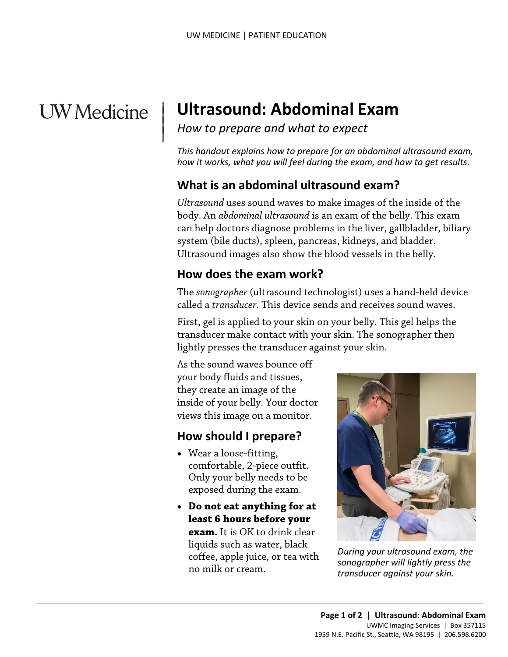# **UW** Medicine

 $\vert$  $\parallel$ 

# | **Ultrasound: Abdominal Exam**

*How to prepare and what to expect* 

*This handout explains how to prepare for an abdominal ultrasound exam, how it works, what you will feel during the exam, and how to get results.* 

#### **What is an abdominal ultrasound exam?**

 *Ultrasound* uses sound waves to make images of the inside of the Ultrasound images also show the blood vessels in the belly. can neip doctors diagnose problems in the liver, galibladder,<br>system (bile ducts), spleen, pancreas, kidneys, and bladder.<br>Ultrasound images also show the blood vessels in the belly.<br>**How does the exam work?**<br>The *sonograp* body. An *abdominal ultrasound* is an exam of the belly. This exam can help doctors diagnose problems in the liver, gallbladder, biliary system (bile ducts), spleen, pancreas, kidneys, and bladder.

#### **How does the exam work?**

The *sonographer* (ultrasound technologist) uses a hand-held device called a *transducer.* This device sends and receives sound waves.

First, gel is applied to your skin on your belly. This gel helps the transducer make contact with your skin. The sonographer then lightly presses the transducer against your skin.

As the sound waves bounce off your body fluids and tissues, they create an image of the inside of your belly. Your doctor views this image on a monitor.

#### **How should I prepare?**

- Wear a loose-fitting, comfortable, 2-piece outfit. Only your belly needs to be exposed during the exam.
- **Do not eat anything for at least 6 hours before your exam.** It is OK to drink clear liquids such as water, black coffee, apple juice, or tea with no milk or cream.

 $\_$  , and the set of the set of the set of the set of the set of the set of the set of the set of the set of the set of the set of the set of the set of the set of the set of the set of the set of the set of the set of th



*During your ultrasound exam, the sonographer will lightly press the transducer against your skin.*